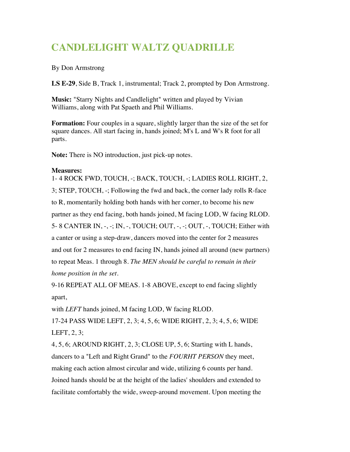## **CANDLELIGHT WALTZ QUADRILLE**

By Don Armstrong

**LS E-29**, Side B, Track 1, instrumental; Track 2, prompted by Don Armstrong.

**Music:** "Starry Nights and Candlelight" written and played by Vivian Williams, along with Pat Spaeth and Phil Williams.

**Formation:** Four couples in a square, slightly larger than the size of the set for square dances. All start facing in, hands joined; M's L and W's R foot for all parts.

**Note:** There is NO introduction, just pick-up notes.

## **Measures:**

1- 4 ROCK FWD, TOUCH, -; BACK, TOUCH, -; LADIES ROLL RIGHT, 2, 3; STEP, TOUCH, -; Following the fwd and back, the corner lady rolls R-face to R, momentarily holding both hands with her corner, to become his new partner as they end facing, both hands joined, M facing LOD, W facing RLOD. 5- 8 CANTER IN, -, -; IN, -, TOUCH; OUT, -, -; OUT, -, TOUCH; Either with a canter or using a step-draw, dancers moved into the center for 2 measures and out for 2 measures to end facing IN, hands joined all around (new partners) to repeat Meas. 1 through 8. *The MEN should be careful to remain in their home position in the set.*

9-16 REPEAT ALL OF MEAS. 1-8 ABOVE, except to end facing slightly apart,

with *LEFT* hands joined, M facing LOD, W facing RLOD.

17-24 PASS WIDE LEFT, 2, 3; 4, 5, 6; WIDE RIGHT, 2, 3; 4, 5, 6; WIDE LEFT, 2, 3;

4, 5, 6; AROUND RIGHT, 2, 3; CLOSE UP, 5, 6; Starting with L hands, dancers to a "Left and Right Grand" to the *FOURHT PERSON* they meet, making each action almost circular and wide, utilizing 6 counts per hand. Joined hands should be at the height of the ladies' shoulders and extended to facilitate comfortably the wide, sweep-around movement. Upon meeting the